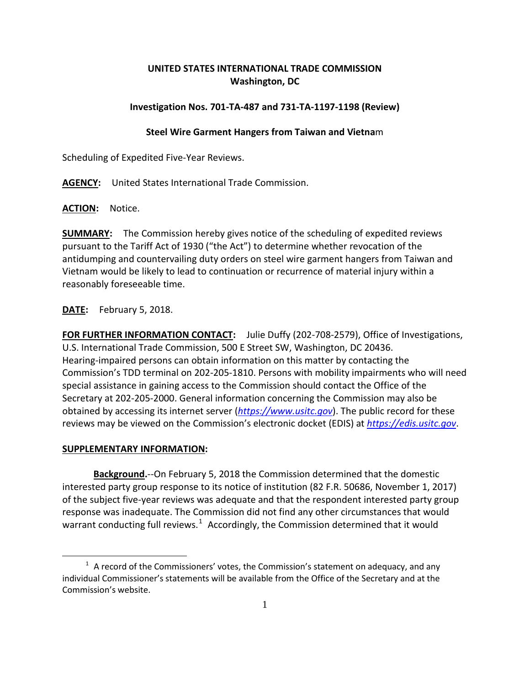## **UNITED STATES INTERNATIONAL TRADE COMMISSION Washington, DC**

## **Investigation Nos. 701-TA-487 and 731-TA-1197-1198 (Review)**

## **Steel Wire Garment Hangers from Taiwan and Vietna**m

Scheduling of Expedited Five-Year Reviews.

**AGENCY:** United States International Trade Commission.

**ACTION:** Notice.

**SUMMARY:** The Commission hereby gives notice of the scheduling of expedited reviews pursuant to the Tariff Act of 1930 ("the Act") to determine whether revocation of the antidumping and countervailing duty orders on steel wire garment hangers from Taiwan and Vietnam would be likely to lead to continuation or recurrence of material injury within a reasonably foreseeable time.

**DATE:** February 5, 2018.

**FOR FURTHER INFORMATION CONTACT:** Julie Duffy (202-708-2579), Office of Investigations, U.S. International Trade Commission, 500 E Street SW, Washington, DC 20436. Hearing-impaired persons can obtain information on this matter by contacting the Commission's TDD terminal on 202-205-1810. Persons with mobility impairments who will need special assistance in gaining access to the Commission should contact the Office of the Secretary at 202-205-2000. General information concerning the Commission may also be obtained by accessing its internet server (*[https://www.usitc.gov](https://www.usitc.gov/)*). The public record for these reviews may be viewed on the Commission's electronic docket (EDIS) at *[https://edis.usitc.gov](https://edis.usitc.gov/)*.

## **SUPPLEMENTARY INFORMATION:**

 $\overline{a}$ 

**Background.**--On February 5, 2018 the Commission determined that the domestic interested party group response to its notice of institution (82 F.R. 50686, November 1, 2017) of the subject five-year reviews was adequate and that the respondent interested party group response was inadequate. The Commission did not find any other circumstances that would warrant conducting full reviews.<sup>[1](#page-0-0)</sup> Accordingly, the Commission determined that it would

<span id="page-0-0"></span> $1$  A record of the Commissioners' votes, the Commission's statement on adequacy, and any individual Commissioner's statements will be available from the Office of the Secretary and at the Commission's website.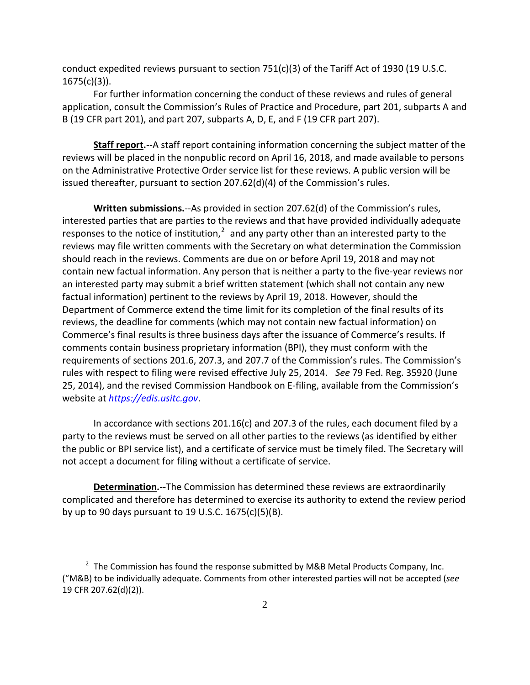conduct expedited reviews pursuant to section  $751(c)(3)$  of the Tariff Act of 1930 (19 U.S.C.  $1675(c)(3)$ ).

For further information concerning the conduct of these reviews and rules of general application, consult the Commission's Rules of Practice and Procedure, part 201, subparts A and B (19 CFR part 201), and part 207, subparts A, D, E, and F (19 CFR part 207).

**Staff report.**--A staff report containing information concerning the subject matter of the reviews will be placed in the nonpublic record on April 16, 2018, and made available to persons on the Administrative Protective Order service list for these reviews. A public version will be issued thereafter, pursuant to section 207.62(d)(4) of the Commission's rules.

**Written submissions.**--As provided in section 207.62(d) of the Commission's rules, interested parties that are parties to the reviews and that have provided individually adequate responses to the notice of institution, $^2$  $^2$  and any party other than an interested party to the reviews may file written comments with the Secretary on what determination the Commission should reach in the reviews. Comments are due on or before April 19, 2018 and may not contain new factual information. Any person that is neither a party to the five-year reviews nor an interested party may submit a brief written statement (which shall not contain any new factual information) pertinent to the reviews by April 19, 2018. However, should the Department of Commerce extend the time limit for its completion of the final results of its reviews, the deadline for comments (which may not contain new factual information) on Commerce's final results is three business days after the issuance of Commerce's results. If comments contain business proprietary information (BPI), they must conform with the requirements of sections 201.6, 207.3, and 207.7 of the Commission's rules. The Commission's rules with respect to filing were revised effective July 25, 2014. *See* 79 Fed. Reg. 35920 (June 25, 2014), and the revised Commission Handbook on E-filing, available from the Commission's website at *[https://edis.usitc.gov](https://edis.usitc.gov/)*.

In accordance with sections 201.16(c) and 207.3 of the rules, each document filed by a party to the reviews must be served on all other parties to the reviews (as identified by either the public or BPI service list), and a certificate of service must be timely filed. The Secretary will not accept a document for filing without a certificate of service.

**Determination.**--The Commission has determined these reviews are extraordinarily complicated and therefore has determined to exercise its authority to extend the review period by up to 90 days pursuant to 19 U.S.C. 1675(c)(5)(B).

 $\overline{a}$ 

<span id="page-1-0"></span> $2$  The Commission has found the response submitted by M&B Metal Products Company, Inc. ("M&B) to be individually adequate. Comments from other interested parties will not be accepted (*see* 19 CFR 207.62(d)(2)).